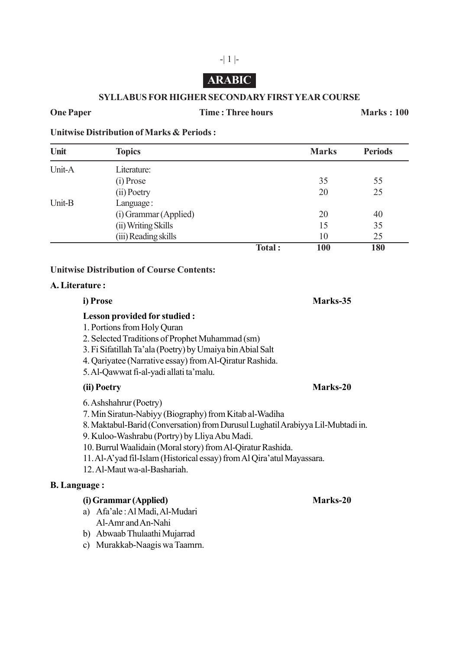# **ARABIC**

#### **SYLLABUS FOR HIGHER SECONDARY FIRST YEAR COURSE**

#### **One Paper Time : Three hours Marks : 100**

**Unitwise Distribution of Marks & Periods :**

| Unit   | <b>Topics</b>         |        | <b>Marks</b> | <b>Periods</b> |
|--------|-----------------------|--------|--------------|----------------|
| Unit-A | Literature:           |        |              |                |
|        | (i) Prose             |        | 35           | 55             |
|        | (ii) Poetry           |        | 20           | 25             |
| Unit-B | Language:             |        |              |                |
|        | (i) Grammar (Applied) |        | 20           | 40             |
|        | (ii) Writing Skills   |        | 15           | 35             |
|        | (iii) Reading skills  |        | 10           | 25             |
|        |                       | Total: | <b>100</b>   | 180            |

#### **Unitwise Distribution of Course Contents:**

### **A. Literature :**

## **Lesson provided for studied :**

- 1. Portions from Holy Quran
- 2. Selected Traditions of Prophet Muhammad (sm)
- 3. Fi Sifatillah Ta'ala (Poetry) by Umaiya bin Abial Salt
- 4. Qariyatee (Narrative essay) from Al-Qiratur Rashida.
- 5. Al-Qawwat fi-al-yadi allati ta'malu.

### **(ii) Poetry Marks-20**

# 6. Ashshahrur (Poetry)

- 7. Min Siratun-Nabiyy (Biography) from Kitab al-Wadiha
- 8. Maktabul-Barid (Conversation) from Durusul Lughatil Arabiyya Lil-Mubtadi in.
- 9. Kuloo-Washrabu (Portry) by Lliya Abu Madi.
- 10. Burrul Waalidain (Moral story) from Al-Qiratur Rashida.
- 11. Al-A'yad fil-Islam (Historical essay) from Al Qira'atul Mayassara.
- 12. Al-Maut wa-al-Bashariah.

### **B. Language :**

## **(i) Grammar (Applied) Marks-20**

- a) Afa'ale : Al Madi, Al-Mudari Al-Amr and An-Nahi
- b) Abwaab Thulaathi Mujarrad
- c) Murakkab-Naagis wa Taamrn.

**i) Prose Marks-35**

-| 1 |-